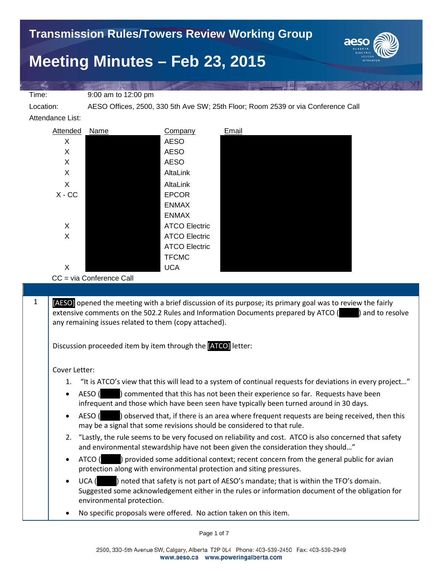

Time: 9:00 am to 12:00 pm

Location: AESO Offices, 2500, 330 5th Ave SW; 25th Floor; Room 2539 or via Conference Call

Attendance List:



CC = via Conference Call

 $1$  [AESO] opened the meeting with a brief discussion of its purpose; its primary goal was to review the fairly extensive comments on the 502.2 Rules and Information Documents prepared by ATCO (extensive on the solve any remaining issues related to them (copy attached).

Discussion proceeded item by item through the [ATCO] letter:

Cover Letter:

- 1. "It is ATCO's view that this will lead to a system of continual requests for deviations in every project…"
- AESO (except ) commented that this has not been their experience so far. Requests have been infrequent and those which have been seen have typically been turned around in 30 days.
- AESO () observed that, if there is an area where frequent requests are being received, then this may be a signal that some revisions should be considered to that rule.
- 2. "Lastly, the rule seems to be very focused on reliability and cost. ATCO is also concerned that safety and environmental stewardship have not been given the consideration they should…"
- ATCO (e) provided some additional context; recent concern from the general public for avian protection along with environmental protection and siting pressures.
- UCA (edgee) noted that safety is not part of AESO's mandate; that is within the TFO's domain. Suggested some acknowledgement either in the rules or information document of the obligation for environmental protection.
- No specific proposals were offered. No action taken on this item.

Page 1 of 7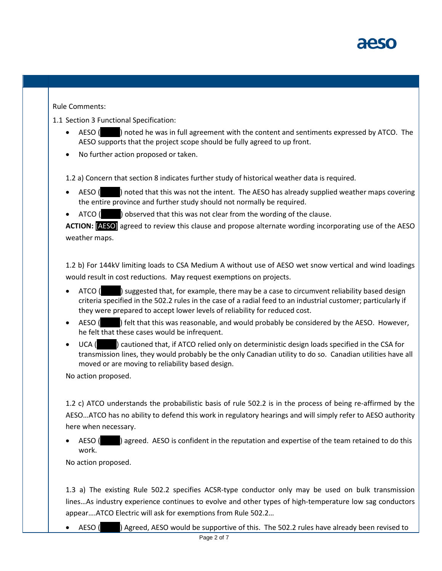## Rule Comments:

1.1 Section 3 Functional Specification:

- AESO (e) noted he was in full agreement with the content and sentiments expressed by ATCO. The AESO supports that the project scope should be fully agreed to up front.
- No further action proposed or taken.

1.2 a) Concern that section 8 indicates further study of historical weather data is required.

- AESO (I) noted that this was not the intent. The AESO has already supplied weather maps covering the entire province and further study should not normally be required.
- ATCO ( $\Box$ ) observed that this was not clear from the wording of the clause.

**ACTION:** [AESO] agreed to review this clause and propose alternate wording incorporating use of the AESO weather maps.

1.2 b) For 144kV limiting loads to CSA Medium A without use of AESO wet snow vertical and wind loadings would result in cost reductions. May request exemptions on projects.

- ATCO ( $\blacksquare$ ) suggested that, for example, there may be a case to circumvent reliability based design criteria specified in the 502.2 rules in the case of a radial feed to an industrial customer; particularly if they were prepared to accept lower levels of reliability for reduced cost.
- AESO ( $\blacksquare$ ) felt that this was reasonable, and would probably be considered by the AESO. However, he felt that these cases would be infrequent.
- UCA (cautioned that, if ATCO relied only on deterministic design loads specified in the CSA for transmission lines, they would probably be the only Canadian utility to do so. Canadian utilities have all moved or are moving to reliability based design.

No action proposed.

1.2 c) ATCO understands the probabilistic basis of rule 502.2 is in the process of being re-affirmed by the AESO…ATCO has no ability to defend this work in regulatory hearings and will simply refer to AESO authority here when necessary.

AESO ( $\Box$ ) agreed. AESO is confident in the reputation and expertise of the team retained to do this work.

No action proposed.

1.3 a) The existing Rule 502.2 specifies ACSR-type conductor only may be used on bulk transmission lines…As industry experience continues to evolve and other types of high-temperature low sag conductors appear….ATCO Electric will ask for exemptions from Rule 502.2…

• AESO ( $\Box$ ) Agreed, AESO would be supportive of this. The 502.2 rules have already been revised to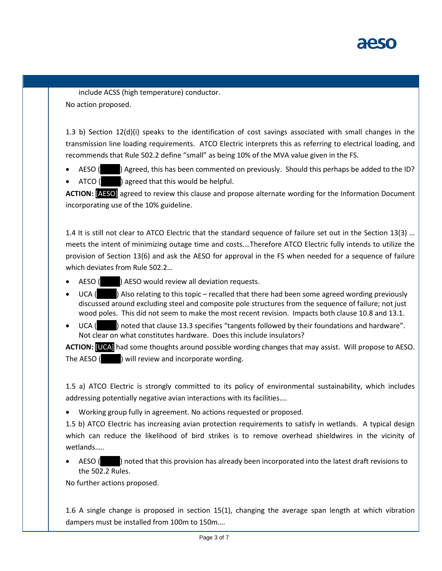

include ACSS (high temperature) conductor. No action proposed.

1.3 b) Section 12(d)(i) speaks to the identification of cost savings associated with small changes in the transmission line loading requirements. ATCO Electric interprets this as referring to electrical loading, and recommends that Rule 502.2 define "small" as being 10% of the MVA value given in the FS.

AESO () Agreed, this has been commented on previously. Should this perhaps be added to the ID?

ATCO ( $\Box$ ) agreed that this would be helpful.

**ACTION:** [AESO] agreed to review this clause and propose alternate wording for the Information Document incorporating use of the 10% guideline.

1.4 It is still not clear to ATCO Electric that the standard sequence of failure set out in the Section 13(3) … meets the intent of minimizing outage time and costs.…Therefore ATCO Electric fully intends to utilize the provision of Section 13(6) and ask the AESO for approval in the FS when needed for a sequence of failure which deviates from Rule 502.2…

- AESO (Kable 2) AESO would review all deviation requests.
- UCA ( $\blacksquare$ ) Also relating to this topic recalled that there had been some agreed wording previously discussed around excluding steel and composite pole structures from the sequence of failure; not just wood poles. This did not seem to make the most recent revision. Impacts both clause 10.8 and 13.1.
- UCA (noted that clause 13.3 specifies "tangents followed by their foundations and hardware". Not clear on what constitutes hardware. Does this include insulators?

**ACTION:** [UCA] had some thoughts around possible wording changes that may assist. Will propose to AESO. The AESO (  $\blacksquare$  ) will review and incorporate wording.

1.5 a) ATCO Electric is strongly committed to its policy of environmental sustainability, which includes addressing potentially negative avian interactions with its facilities….

• Working group fully in agreement. No actions requested or proposed.

1.5 b) ATCO Electric has increasing avian protection requirements to satisfy in wetlands. A typical design which can reduce the likelihood of bird strikes is to remove overhead shieldwires in the vicinity of wetlands.….

AESO (noted that this provision has already been incorporated into the latest draft revisions to the 502.2 Rules.

No further actions proposed.

1.6 A single change is proposed in section 15(1), changing the average span length at which vibration dampers must be installed from 100m to 150m….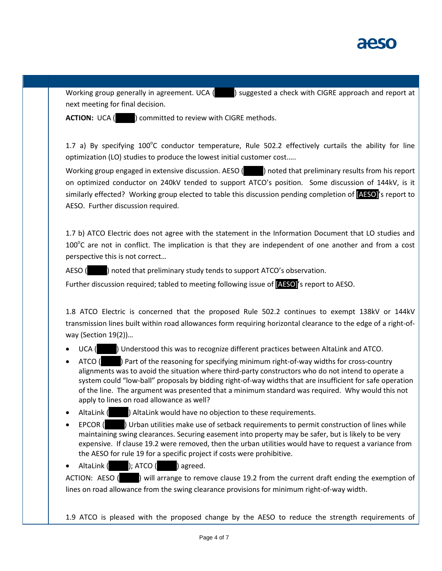

next meeting for final decision.

Working group generally in agreement. UCA () suggested a check with CIGRE approach and report at

**ACTION:** UCA ( $\vert$  ) committed to review with CIGRE methods.

1.7 a) By specifying  $100^{\circ}$ C conductor temperature, Rule 502.2 effectively curtails the ability for line optimization (LO) studies to produce the lowest initial customer cost.….

Working group engaged in extensive discussion. AESO (Eq. ) noted that preliminary results from his report on optimized conductor on 240kV tended to support ATCO's position. Some discussion of 144kV, is it similarly effected? Working group elected to table this discussion pending completion of **[AESO]**'s report to AESO. Further discussion required.

1.7 b) ATCO Electric does not agree with the statement in the Information Document that LO studies and  $100^{\circ}$ C are not in conflict. The implication is that they are independent of one another and from a cost perspective this is not correct…

AESO (\_\_\_\_\_) noted that preliminary study tends to support ATCO's observation.

Further discussion required; tabled to meeting following issue of [AESO]'s report to AESO.

1.8 ATCO Electric is concerned that the proposed Rule 502.2 continues to exempt 138kV or 144kV transmission lines built within road allowances form requiring horizontal clearance to the edge of a right-ofway (Section 19(2))…

- UCA ( $\Box$ ) Understood this was to recognize different practices between AltaLink and ATCO.
- ATCO (e) Part of the reasoning for specifying minimum right-of-way widths for cross-country alignments was to avoid the situation where third-party constructors who do not intend to operate a system could "low-ball" proposals by bidding right-of-way widths that are insufficient for safe operation of the line. The argument was presented that a minimum standard was required. Why would this not apply to lines on road allowance as well?
- AltaLink ( ) AltaLink would have no objection to these requirements.
- EPCOR (External original utilities make use of setback requirements to permit construction of lines while maintaining swing clearances. Securing easement into property may be safer, but is likely to be very expensive. If clause 19.2 were removed, then the urban utilities would have to request a variance from the AESO for rule 19 for a specific project if costs were prohibitive.

• AltaLink  $($  ); ATCO  $($  ) agreed.

ACTION: AESO ( $\Box$ ) will arrange to remove clause 19.2 from the current draft ending the exemption of lines on road allowance from the swing clearance provisions for minimum right-of-way width.

1.9 ATCO is pleased with the proposed change by the AESO to reduce the strength requirements of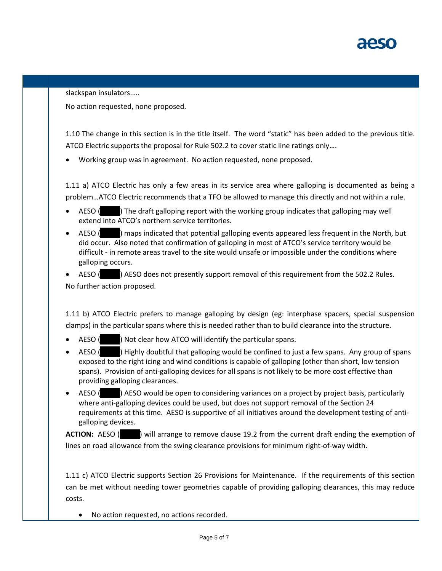

slackspan insulators.….

No action requested, none proposed.

1.10 The change in this section is in the title itself. The word "static" has been added to the previous title. ATCO Electric supports the proposal for Rule 502.2 to cover static line ratings only….

• Working group was in agreement. No action requested, none proposed.

1.11 a) ATCO Electric has only a few areas in its service area where galloping is documented as being a problem…ATCO Electric recommends that a TFO be allowed to manage this directly and not within a rule.

- AESO (e) The draft galloping report with the working group indicates that galloping may well extend into ATCO's northern service territories.
- AESO (narray) maps indicated that potential galloping events appeared less frequent in the North, but did occur. Also noted that confirmation of galloping in most of ATCO's service territory would be difficult - in remote areas travel to the site would unsafe or impossible under the conditions where galloping occurs.

AESO (etc.) AESO does not presently support removal of this requirement from the 502.2 Rules. No further action proposed.

1.11 b) ATCO Electric prefers to manage galloping by design (eg: interphase spacers, special suspension clamps) in the particular spans where this is needed rather than to build clearance into the structure.

- AESO ( $\blacksquare$ ) Not clear how ATCO will identify the particular spans.
- AESO (Sample ) Highly doubtful that galloping would be confined to just a few spans. Any group of spans exposed to the right icing and wind conditions is capable of galloping (other than short, low tension spans). Provision of anti-galloping devices for all spans is not likely to be more cost effective than providing galloping clearances.
- AESO (e) AESO would be open to considering variances on a project by project basis, particularly where anti-galloping devices could be used, but does not support removal of the Section 24 requirements at this time. AESO is supportive of all initiatives around the development testing of antigalloping devices.

**ACTION:** AESO (  $\blacksquare$  ) will arrange to remove clause 19.2 from the current draft ending the exemption of lines on road allowance from the swing clearance provisions for minimum right-of-way width.

1.11 c) ATCO Electric supports Section 26 Provisions for Maintenance. If the requirements of this section can be met without needing tower geometries capable of providing galloping clearances, this may reduce costs.

• No action requested, no actions recorded.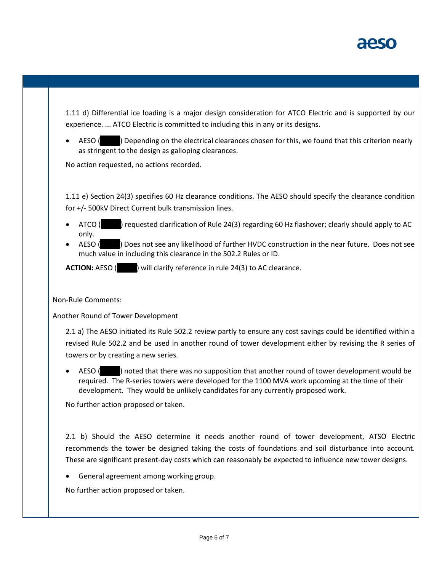1.11 d) Differential ice loading is a major design consideration for ATCO Electric and is supported by our experience. ... ATCO Electric is committed to including this in any or its designs.

AESO (edsiglent) Depending on the electrical clearances chosen for this, we found that this criterion nearly as stringent to the design as galloping clearances.

No action requested, no actions recorded.

1.11 e) Section 24(3) specifies 60 Hz clearance conditions. The AESO should specify the clearance condition for +/- 500kV Direct Current bulk transmission lines.

- ATCO (\_\_\_\_\_) requested clarification of Rule 24(3) regarding 60 Hz flashover; clearly should apply to AC only.
- AESO ( $\blacksquare$ ) Does not see any likelihood of further HVDC construction in the near future. Does not see much value in including this clearance in the 502.2 Rules or ID.

**ACTION:** AESO ( $\blacksquare$ ) will clarify reference in rule 24(3) to AC clearance.

Non-Rule Comments:

Another Round of Tower Development

2.1 a) The AESO initiated its Rule 502.2 review partly to ensure any cost savings could be identified within a revised Rule 502.2 and be used in another round of tower development either by revising the R series of towers or by creating a new series.

AESO (except that there was no supposition that another round of tower development would be required. The R-series towers were developed for the 1100 MVA work upcoming at the time of their development. They would be unlikely candidates for any currently proposed work.

No further action proposed or taken.

2.1 b) Should the AESO determine it needs another round of tower development, ATSO Electric recommends the tower be designed taking the costs of foundations and soil disturbance into account. These are significant present-day costs which can reasonably be expected to influence new tower designs.

• General agreement among working group.

No further action proposed or taken.